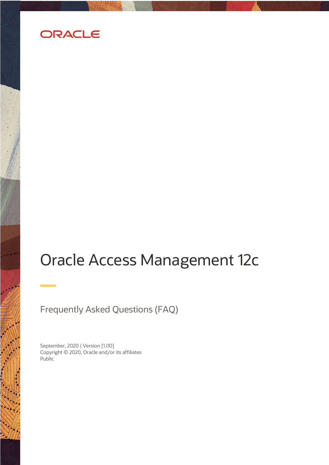

# Oracle Access Management 12c

Frequently Asked Questions (FAQ)

 Copyright © 2020, Oracle and/or its affiliates September, 2020 | Version [1.00] Public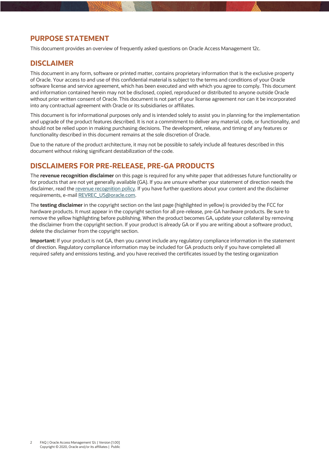# **PURPOSE STATEMENT**

This document provides an overview of frequently asked questions on Oracle Access Management 12c.

# **DISCLAIMER**

 This document in any form, software or printed matter, contains proprietary information that is the exclusive property of Oracle. Your access to and use of this confidential material is subject to the terms and conditions of your Oracle software license and service agreement, which has been executed and with which you agree to comply. This document and information contained herein may not be disclosed, copied, reproduced or distributed to anyone outside Oracle without prior written consent of Oracle. This document is not part of your license agreement nor can it be incorporated into any contractual agreement with Oracle or its subsidiaries or affiliates.

 This document is for informational purposes only and is intended solely to assist you in planning for the implementation and upgrade of the product features described. It is not a commitment to deliver any material, code, or functionality, and should not be relied upon in making purchasing decisions. The development, release, and timing of any features or functionality described in this document remains at the sole discretion of Oracle.

 Due to the nature of the product architecture, it may not be possible to safely include all features described in this document without risking significant destabilization of the code.

# **DISCLAIMERS FOR PRE-RELEASE, PRE-GA PRODUCTS**

 The **revenue recognition disclaimer** on this page is required for any white paper that addresses future functionality or for products that are not yet generally available (GA). If you are unsure whether your statement of direction needs the disclaimer, read the <u>revenue recognition policy</u>. If you have further questions about your content and the disclaimer requirements, e-mail REVREC\_US@oracle.com.

 hardware products. It must appear in the copyright section for all pre-release, pre-GA hardware products. Be sure to remove the yellow highlighting before publishing. When the product becomes GA, update your collateral by removing the disclaimer from the copyright section. If your product is already GA or if you are writing about a software product, delete the disclaimer from the copyright section. The **testing disclaimer** in the copyright section on the last page (highlighted in yellow) is provided by the FCC for

 **Important:** If your product is not GA, then you cannot include any regulatory compliance information in the statement of direction. Regulatory compliance information may be included for GA products only if you have completed all required safety and emissions testing, and you have received the certificates issued by the testing organization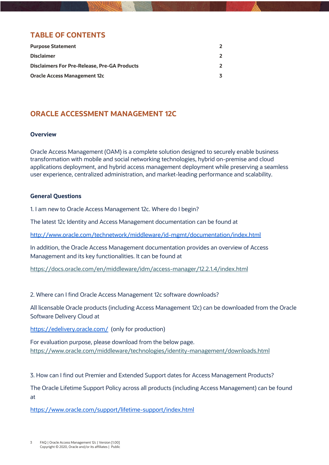# **TABLE OF CONTENTS**

| <b>Purpose Statement</b>                            |  |
|-----------------------------------------------------|--|
| <b>Disclaimer</b>                                   |  |
| <b>Disclaimers For Pre-Release, Pre-GA Products</b> |  |
| <b>Oracle Access Management 12c</b>                 |  |

# **ORACLE ACCESSMENT MANAGEMENT 12C**

#### **Overview**

 Oracle Access Management (OAM) is a complete solution designed to securely enable business transformation with mobile and social networking technologies, hybrid on-premise and cloud applications deployment, and hybrid access management deployment while preserving a seamless user experience, centralized administration, and market-leading performance and scalability.

#### **General Questions**

1. I am new to Oracle Access Management 12c. Where do I begin?

The latest 12c Identity and Access Management documentation can be found at

http://www.oracle.com/technetwork/middleware/id-mgmt/documentation/index.html

<u>http://www.oracle.com/technetwork/middleware/id-mgmt/documentation/index.html</u><br>In addition, the Oracle Access Management documentation provides an overview of Access Management and its key functionalities. It can be found at

https://docs.oracle.com/en/middleware/idm/access-manager/12.2.1.4/index.html

2. Where can I find Oracle Access Management 12c software downloads?

 All licensable Oracle products (including Access Management 12c) can be downloaded from the Oracle Software Delivery Cloud at

Software Delivery Cloud at<br><u>https://edelivery.oracle.com/</u> (only for production)

 For evaluation purpose, please download from the below page. https://www.oracle.com/middleware/technologies/identity-management/downloads.html

3. How can I find out Premier and Extended Support dates for Access Management Products?

 The Oracle Lifetime Support Policy across all products (including Access Management) can be found  $at$ 

at<br>https://www.oracle.com/support/lifetime-support/index.html<br>3 FAQ | Oracle Access Management 12c | Version [1.00]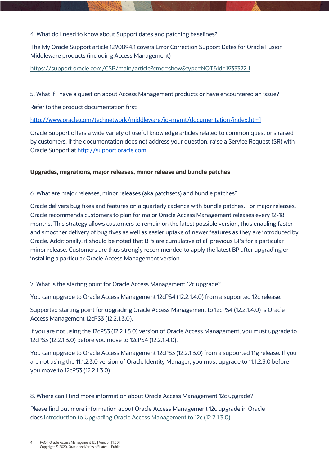#### 4. What do I need to know about Support dates and patching baselines?

 The My Oracle Support article 1290894.1 covers Error Correction Support Dates for Oracle Fusion Middleware products (including Access Management)

#### https://support.oracle.com/CSP/main/article?cmd=show&type=NOT&id=1933372.1

5. What if I have a question about Access Management products or have encountered an issue?

Refer to the product documentation first:

http://www.oracle.com/technetwork/middleware/id-mgmt/documentation/index.html

<u>http://www.oracle.com/technetwork/middleware/id-mgmt/documentation/index.html</u><br>Oracle Support offers a wide variety of useful knowledge articles related to common questions raised by customers. If the documentation does not address your question, raise a Service Request (SR) with Oracle Support at http://support.oracle.com.

#### **Upgrades, migrations, major releases, minor release and bundle patches**

6. What are major releases, minor releases (aka patchsets) and bundle patches?

 Oracle delivers bug fixes and features on a quarterly cadence with bundle patches. For major releases, Oracle recommends customers to plan for major Oracle Access Management releases every 12-18 months. This strategy allows customers to remain on the latest possible version, thus enabling faster and smoother delivery of bug fixes as well as easier uptake of newer features as they are introduced by Oracle. Additionally, it should be noted that BPs are cumulative of all previous BPs for a particular minor release. Customers are thus strongly recommended to apply the latest BP after upgrading or installing a particular Oracle Access Management version.

7. What is the starting point for Oracle Access Management 12c upgrade?

You can upgrade to Oracle Access Management 12cPS4 (12.2.1.4.0) from a supported 12c release.

 Supported starting point for upgrading Oracle Access Management to 12cPS4 (12.2.1.4.0) is Oracle Access Management 12cPS3 (12.2.1.3.0).

 If you are not using the 12cPS3 (12.2.1.3.0) version of Oracle Access Management, you must upgrade to 12cPS3 (12.2.1.3.0) before you move to 12cPS4 (12.2.1.4.0).

 You can upgrade to Oracle Access Management 12cPS3 (12.2.1.3.0) from a supported 11g release. If you are not using the 11.1.2.3.0 version of Oracle Identity Manager, you must upgrade to 11.1.2.3.0 before you move to 12cPS3 (12.2.1.3.0)

### 8. Where can I find more information about Oracle Access Management 12c upgrade?

 Please find out more information about Oracle Access Management 12c upgrade in Oracle docs Introduction to Upgrading Oracle Access Management to 12c (12.2.1.3.0).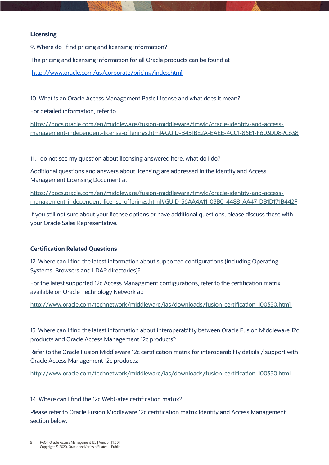#### **Licensing**

9. Where do I find pricing and licensing information?

The pricing and licensing information for all Oracle products can be found at

http://www.oracle.com/us/corporate/pricing/index.html

http://www.oracle.com/us/corporate/pricing/index.html<br>10. What is an Oracle Access Management Basic License and what does it mean?

For detailed information, refer to

https://docs.oracle.com/en/middleware/fusion-middleware/fmwlc/oracle-identity-and-accessmanagement-independent-license-offerings.html#GUID-B451BE2A-EAEE-4CC1-86E1-F603DD89C638

11. I do not see my question about licensing answered here, what do I do?

11. I do not see my question about licensing answered here, what do I do?<br>Additional questions and answers about licensing are addressed in the Identity and Access Management Licensing Document at

management-independent-license-offerings.html#GUID-56AA4A11-03B0-4488-AA47-DB1D171B442F https://docs.oracle.com/en/middleware/fusion-middleware/fmwlc/oracle-identity-and-access-

 your Oracle Sales Representative. If you still not sure about your license options or have additional questions, please discuss these with

### **Certification Related Questions**

 Systems, Browsers and LDAP directories)? 12. Where can I find the latest information about supported configurations (including Operating

 For the latest supported 12c Access Management configurations, refer to the certification matrix available on Oracle Technology Network at:

http://www.oracle.com/technetwork/middleware/ias/downloads/fusion-certification-100350.html

 products and Oracle Access Management 12c products? 13. Where can I find the latest information about interoperability between Oracle Fusion Middleware 12c

 Refer to the Oracle Fusion Middleware 12c certification matrix for interoperability details / support with Oracle Access Management 12c products:

http://www.oracle.com/technetwork/middleware/ias/downloads/fusion-certification-100350.html

#### 14. Where can I find the 12c WebGates certification matrix?

14. Where can I find the 12c WebGates certification matrix?<br>Please refer to Oracle Fusion Middleware 12c certification matrix Identity and Access Management section below.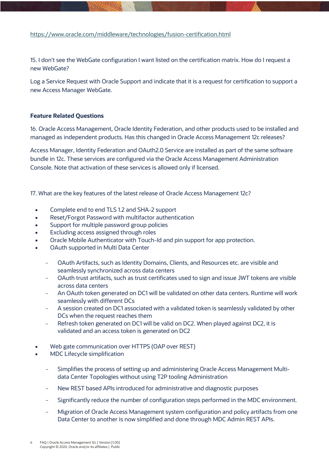#### https://www.oracle.com/middleware/technologies/fusion-certification.html

 15. I don't see the WebGate configuration I want listed on the certification matrix. How do I request a new WebGate?

new WebGate?<br>Log a Service Request with Oracle Support and indicate that it is a request for certification to support a new Access Manager WebGate.

#### **Feature Related Questions**

 16. Oracle Access Management, Oracle Identity Federation, and other products used to be installed and managed as independent products. Has this changed in Oracle Access Management 12c releases?

 Access Manager, Identity Federation and OAuth2.0 Service are installed as part of the same software bundle in 12c. These services are configured via the Oracle Access Management Administration Console. Note that activation of these services is allowed only if licensed.

17. What are the key features of the latest release of Oracle Access Management 12c?

- Complete end to end TLS 1.2 and SHA-2 support
- Reset/Forgot Password with multifactor authentication
- Support for multiple password group policies
- Excluding access assigned through roles
- Oracle Mobile Authenticator with Touch-Id and pin support for app protection.
- • OAuth supported in Multi Data Center
	- - OAuth Artifacts, such as Identity Domains, Clients, and Resources etc. are visible and seamlessly synchronized across data centers
	- - OAuth trust artifacts, such as trust certificates used to sign and issue JWT tokens are visible across data centers
	- - An OAuth token generated on DC1 will be validated on other data centers. Runtime will work seamlessly with different DCs
	- - A session created on DC1 associated with a validated token is seamlessly validated by other DCs when the request reaches them
	- - Refresh token generated on DC1 will be valid on DC2. When played against DC2, it is validated and an access token is generated on DC2
- Web gate communication over HTTPS (OAP over REST)
- • MDC Lifecycle simplification
	- - Simplifies the process of setting up and administering Oracle Access Management Multi-data Center Topologies without using T2P tooling Administration
	- New REST based APIs introduced for administrative and diagnostic purposes
	- Significantly reduce the number of configuration steps performed in the MDC environment.
	- - Migration of Oracle Access Management system configuration and policy artifacts from one Data Center to another is now simplified and done through MDC Admin REST APIs.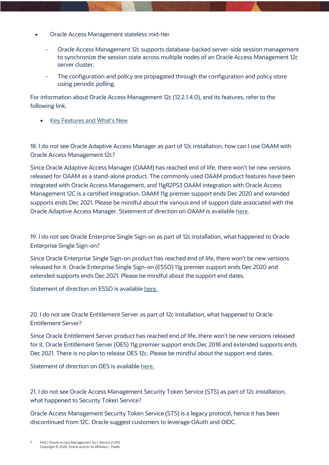- • Oracle Access Management stateless mid-tier
	- - Oracle Access Management 12c supports database-backed server-side session management to synchronize the session state across multiple nodes of an Oracle Access Management 12c server cluster.
	- - The configuration and policy are propagated through the configuration and policy store using periodic polling.

using periodic polling.<br>For information about Oracle Access Management 12c (12.2.1.4.0), and its features, refer to the following link.

• Key Features and What's New

 18. I do not see Oracle Adaptive Access Manager as part of 12c installation, how can I use OAAM with Oracle Access Management 12c?

 Since Oracle Adaptive Access Manager (OAAM) has reached end of life, there won't be new versions released for OAAM as a stand-alone product. The commonly used OAAM product features have been integrated with Oracle Access Management, and 11gR2PS3 OAAM integration with Oracle Access Management 12C is a certified integration. OAAM 11g premier support ends Dec 2020 and extended supports ends Dec 2021. Please be mindful about the various end of support date associated with the Oracle Adaptive Access Manager. Statement of direction on OAAM is available here.

 19. I do not see Oracle Enterprise Single Sign-on as part of 12c installation, what happened to Oracle Enterprise Single Sign-on?

 Since Oracle Enterprise Single Sign-on product has reached end of life, there won't be new versions released for it. Oracle Enterprise Single Sign-on (ESSO) 11g premier support ends Dec 2020 and extended supports ends Dec 2021. Please be mindful about the support end dates.

Statement of direction on ESSO is available here.

 20. I do not see Oracle Entitlement Server as part of 12c installation, what happened to Oracle Entitlement Server?

 for it. Oracle Entitlement Server (OES) 11g premier support ends Dec 2018 and extended supports ends Dec 2021. There is no plan to release OES 12c. Please be mindful about the support end dates. Since Oracle Entitlement Server product has reached end of life, there won't be new versions released

Statement of direction on OES is available <u>here.</u>

 what happened to Security Token Service? 21. I do not see Oracle Access Management Security Token Service (STS) as part of 12c installation,

 Oracle Access Management Security Token Service (STS) is a legacy protocol, hence it has been discontinued from 12C. Oracle suggest customers to leverage OAuth and OIDC.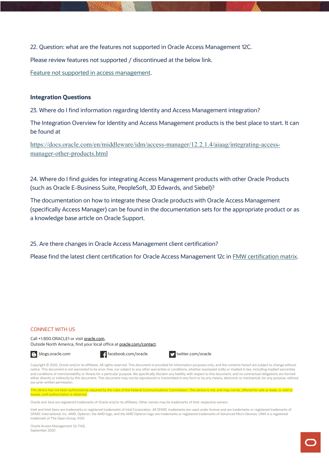22. Question: what are the features not supported in Oracle Access Management 12C.

Please review features not supported / discontinued at the below link.

Feature not supported in access management.

#### **Integration Questions**

23. Where do I find information regarding Identity and Access Management integration?

23. Where do I find information regarding Identity and Access Management integration?<br>The Integration Overview for Identity and Access Management products is the best place to start. It can be found at

https://docs.oracle.com/en/middleware/idm/access-manager/12.2.1.4/aiaag/integrating-accessmanager-other-products.html

 24. Where do I find guides for integrating Access Management products with other Oracle Products (such as Oracle E-Business Suite, PeopleSoft, JD Edwards, and Siebel)?

 The documentation on how to integrate these Oracle products with Oracle Access Management (specifically Access Manager) can be found in the documentation sets for the appropriate product or as a knowledge base article on Oracle Support.

25. Are there changes in Oracle Access Management client certification?

Please find the latest client certification for Oracle Access Management 12c in **FMW certification matrix**.

#### CONNECT WITH US

Call +1.800.ORACLE1 or visit **oracle.com**. Outside North America, find your local office at **oracle.com/contact**.

B blogs.oracle.com **f** facebook.com/oracle twitter.com/oracle



Copyright © 2020, Oracle and/or its affiliates. All rights reserved. This document is provided for information purposes only, and the contents hereof are subject to change without notice. This document is not warranted to be error-free, nor subject to any other warranties or conditions, whether expressed orally or implied in law, including implied warranties and conditions of merchantability or fitness for a particular purpose. We specifically disclaim any liability with respect to this document, and no contractual obligations are formed either directly or indirectly by this document. This document may not be reproduced or transmitted in any form or by any means, electronic or mechanical, for any purpose, without our prior written permission.

This device has not been authorized as required by the rules of the Fed leased, until authorization is obtained.

Oracle and Java are registered trademarks of Oracle and/or its affiliates. Other names may be trademarks of their respective owners.

Intel and Intel Xeon are trademarks or registered trademarks of Intel Corporation. All SPARC trademarks are used under license and are trademarks or registered trademarks of SPARC International, Inc. AMD, Opteron, the AMD logo, and the AMD Opteron logo are trademarks or registered trademarks of Advanced Micro Devices. UNIX is a registered trademark of The Open Group. 0120

Oracle Access Management 12c FAQ September 2020